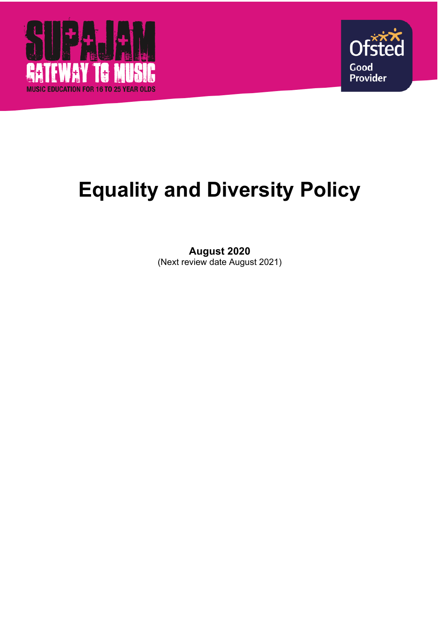



# **Equality and Diversity Policy**

# **August 2020** (Next review date August 2021)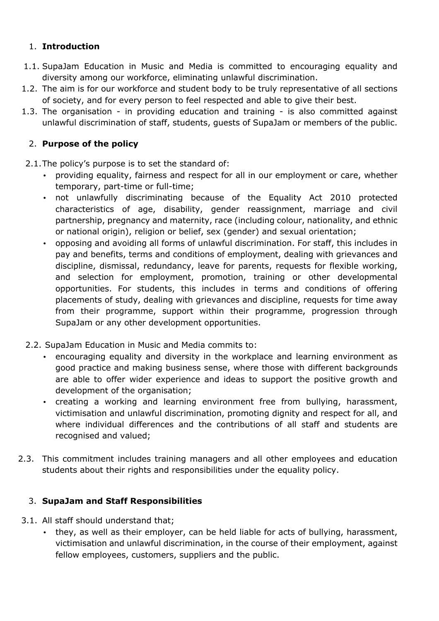#### 1. **Introduction**

- 1.1. SupaJam Education in Music and Media is committed to encouraging equality and diversity among our workforce, eliminating unlawful discrimination.
- 1.2. The aim is for our workforce and student body to be truly representative of all sections of society, and for every person to feel respected and able to give their best.
- 1.3. The organisation in providing education and training is also committed against unlawful discrimination of staff, students, guests of SupaJam or members of the public.

## 2. **Purpose of the policy**

- 2.1.The policy's purpose is to set the standard of:
	- providing equality, fairness and respect for all in our employment or care, whether temporary, part-time or full-time;
	- not unlawfully discriminating because of the Equality Act 2010 protected characteristics of age, disability, gender reassignment, marriage and civil partnership, pregnancy and maternity, race (including colour, nationality, and ethnic or national origin), religion or belief, sex (gender) and sexual orientation;
	- opposing and avoiding all forms of unlawful discrimination. For staff, this includes in pay and benefits, terms and conditions of employment, dealing with grievances and discipline, dismissal, redundancy, leave for parents, requests for flexible working, and selection for employment, promotion, training or other developmental opportunities. For students, this includes in terms and conditions of offering placements of study, dealing with grievances and discipline, requests for time away from their programme, support within their programme, progression through SupaJam or any other development opportunities.
- 2.2. SupaJam Education in Music and Media commits to:
	- encouraging equality and diversity in the workplace and learning environment as good practice and making business sense, where those with different backgrounds are able to offer wider experience and ideas to support the positive growth and development of the organisation;
	- creating a working and learning environment free from bullying, harassment, victimisation and unlawful discrimination, promoting dignity and respect for all, and where individual differences and the contributions of all staff and students are recognised and valued;
- 2.3. This commitment includes training managers and all other employees and education students about their rights and responsibilities under the equality policy.

## 3. **SupaJam and Staff Responsibilities**

- 3.1. All staff should understand that;
	- they, as well as their employer, can be held liable for acts of bullying, harassment, victimisation and unlawful discrimination, in the course of their employment, against fellow employees, customers, suppliers and the public.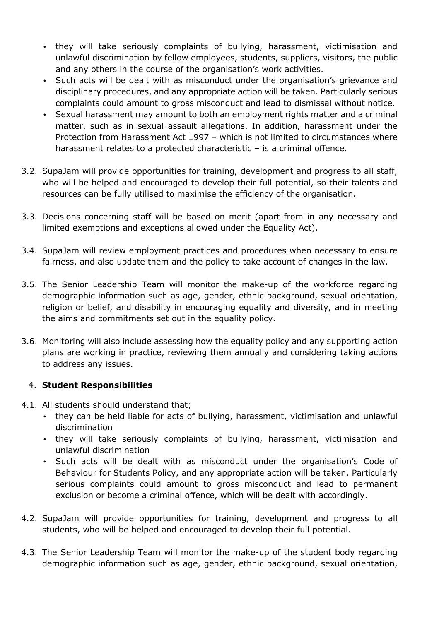- they will take seriously complaints of bullying, harassment, victimisation and unlawful discrimination by fellow employees, students, suppliers, visitors, the public and any others in the course of the organisation's work activities.
- Such acts will be dealt with as misconduct under the organisation's grievance and disciplinary procedures, and any appropriate action will be taken. Particularly serious complaints could amount to gross misconduct and lead to dismissal without notice.
- Sexual harassment may amount to both an employment rights matter and a criminal matter, such as in sexual assault allegations. In addition, harassment under the Protection from Harassment Act 1997 – which is not limited to circumstances where harassment relates to a protected characteristic – is a criminal offence.
- 3.2. SupaJam will provide opportunities for training, development and progress to all staff, who will be helped and encouraged to develop their full potential, so their talents and resources can be fully utilised to maximise the efficiency of the organisation.
- 3.3. Decisions concerning staff will be based on merit (apart from in any necessary and limited exemptions and exceptions allowed under the Equality Act).
- 3.4. SupaJam will review employment practices and procedures when necessary to ensure fairness, and also update them and the policy to take account of changes in the law.
- 3.5. The Senior Leadership Team will monitor the make-up of the workforce regarding demographic information such as age, gender, ethnic background, sexual orientation, religion or belief, and disability in encouraging equality and diversity, and in meeting the aims and commitments set out in the equality policy.
- 3.6. Monitoring will also include assessing how the equality policy and any supporting action plans are working in practice, reviewing them annually and considering taking actions to address any issues.

#### 4. **Student Responsibilities**

- 4.1. All students should understand that;
	- they can be held liable for acts of bullying, harassment, victimisation and unlawful discrimination
	- they will take seriously complaints of bullying, harassment, victimisation and unlawful discrimination
	- Such acts will be dealt with as misconduct under the organisation's Code of Behaviour for Students Policy, and any appropriate action will be taken. Particularly serious complaints could amount to gross misconduct and lead to permanent exclusion or become a criminal offence, which will be dealt with accordingly.
- 4.2. SupaJam will provide opportunities for training, development and progress to all students, who will be helped and encouraged to develop their full potential.
- 4.3. The Senior Leadership Team will monitor the make-up of the student body regarding demographic information such as age, gender, ethnic background, sexual orientation,